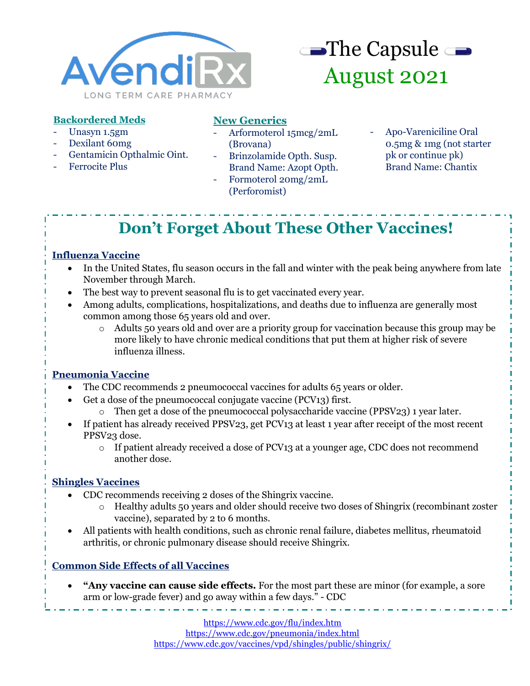



### **Backordered Meds**

- Unasyn 1.5gm
- Dexilant 60mg
- Gentamicin Opthalmic Oint.
- Ferrocite Plus

## **New Generics**

- Arformoterol 15mcg/2mL (Brovana)
- Brinzolamide Opth. Susp. Brand Name: Azopt Opth.
- Formoterol 20mg/2mL (Perforomist)
- Apo-Vareniciline Oral 0.5mg & 1mg (not starter pk or continue pk) Brand Name: Chantix

# **Don't Forget About These Other Vaccines!**

### **Influenza Vaccine**

- In the United States, flu season occurs in the fall and winter with the peak being anywhere from late November through March.
- The best way to prevent seasonal flu is to get vaccinated every year.
- Among adults, complications, hospitalizations, and deaths due to influenza are generally most common among those 65 years old and over.
	- o Adults 50 years old and over are a priority group for vaccination because this group may be more likely to have chronic medical conditions that put them at higher risk of severe influenza illness.

### **Pneumonia Vaccine**

- The CDC recommends 2 pneumococcal vaccines for adults 65 years or older.
	- Get a dose of the pneumococcal conjugate vaccine (PCV13) first.
		- $\circ$  Then get a dose of the pneumococcal polysaccharide vaccine (PPSV23) 1 year later.
- If patient has already received PPSV23, get PCV13 at least 1 year after receipt of the most recent PPSV23 dose.
	- o If patient already received a dose of PCV13 at a younger age, CDC does not recommend another dose.

### **Shingles Vaccines**

- CDC recommends receiving 2 doses of the Shingrix vaccine.
	- o Healthy adults 50 years and older should receive two doses of Shingrix (recombinant zoster vaccine), separated by 2 to 6 months.
- All patients with health conditions, such as chronic renal failure, diabetes mellitus, rheumatoid arthritis, or chronic pulmonary disease should receive Shingrix.

### **Common Side Effects of all Vaccines**

• **"Any vaccine can cause side effects.** For the most part these are minor (for example, a sore arm or low-grade fever) and go away within a few days." - CDC